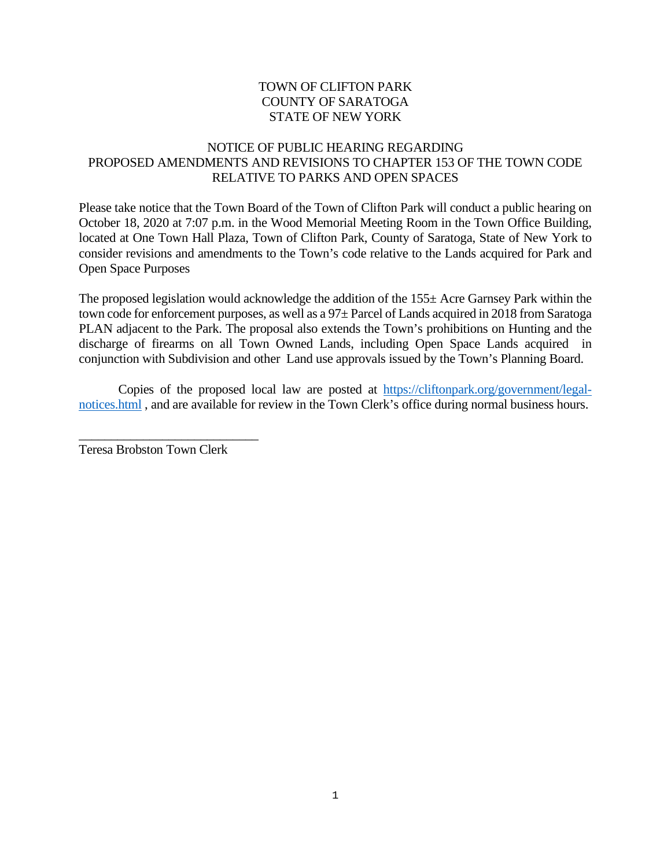## TOWN OF CLIFTON PARK COUNTY OF SARATOGA STATE OF NEW YORK

## NOTICE OF PUBLIC HEARING REGARDING PROPOSED AMENDMENTS AND REVISIONS TO CHAPTER 153 OF THE TOWN CODE RELATIVE TO PARKS AND OPEN SPACES

Please take notice that the Town Board of the Town of Clifton Park will conduct a public hearing on October 18, 2020 at 7:07 p.m. in the Wood Memorial Meeting Room in the Town Office Building, located at One Town Hall Plaza, Town of Clifton Park, County of Saratoga, State of New York to consider revisions and amendments to the Town's code relative to the Lands acquired for Park and Open Space Purposes

The proposed legislation would acknowledge the addition of the 155± Acre Garnsey Park within the town code for enforcement purposes, as well as a 97 $\pm$  Parcel of Lands acquired in 2018 from Saratoga PLAN adjacent to the Park. The proposal also extends the Town's prohibitions on Hunting and the discharge of firearms on all Town Owned Lands, including Open Space Lands acquired in conjunction with Subdivision and other Land use approvals issued by the Town's Planning Board.

Copies of the proposed local law are posted at [https://cliftonpark.org/government/legal](https://cliftonpark.org/government/legal-notices.html)[notices.html](https://cliftonpark.org/government/legal-notices.html) , and are available for review in the Town Clerk's office during normal business hours.

Teresa Brobston Town Clerk

\_\_\_\_\_\_\_\_\_\_\_\_\_\_\_\_\_\_\_\_\_\_\_\_\_\_\_\_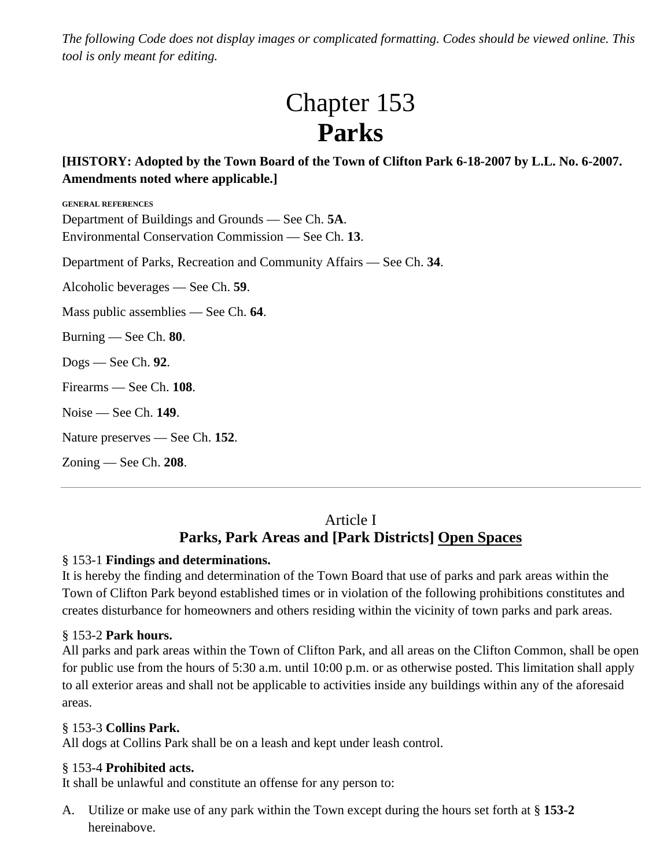*The following Code does not display images or complicated formatting. Codes should be viewed online. This tool is only meant for editing.*

# Chapter 153 **Parks**

## **[HISTORY: Adopted by the Town Board of the Town of Clifton Park 6-18-2007 by L.L. No. 6-2007. Amendments noted where applicable.]**

**GENERAL REFERENCES** Department of Buildings and Grounds — See Ch. **5A**. Environmental Conservation Commission — See Ch. **13**. Department of Parks, Recreation and Community Affairs — See Ch. **34**. Alcoholic beverages — See Ch. **59**. Mass public assemblies — See Ch. **64**. Burning — See Ch. **80**. Dogs — See Ch. **92**. Firearms — See Ch. **108**. Noise — See Ch. **149**. Nature preserves — See Ch. **152**. Zoning — See Ch. **208**.

# Article I **Parks, Park Areas and [Park Districts] Open Spaces**

## § 153-1 **Findings and determinations.**

It is hereby the finding and determination of the Town Board that use of parks and park areas within the Town of Clifton Park beyond established times or in violation of the following prohibitions constitutes and creates disturbance for homeowners and others residing within the vicinity of town parks and park areas.

## § 153-2 **Park hours.**

All parks and park areas within the Town of Clifton Park, and all areas on the Clifton Common, shall be open for public use from the hours of 5:30 a.m. until 10:00 p.m. or as otherwise posted. This limitation shall apply to all exterior areas and shall not be applicable to activities inside any buildings within any of the aforesaid areas.

## § 153-3 **Collins Park.**

All dogs at Collins Park shall be on a leash and kept under leash control.

## § 153-4 **Prohibited acts.**

It shall be unlawful and constitute an offense for any person to:

A. Utilize or make use of any park within the Town except during the hours set forth at § **153-2** hereinabove.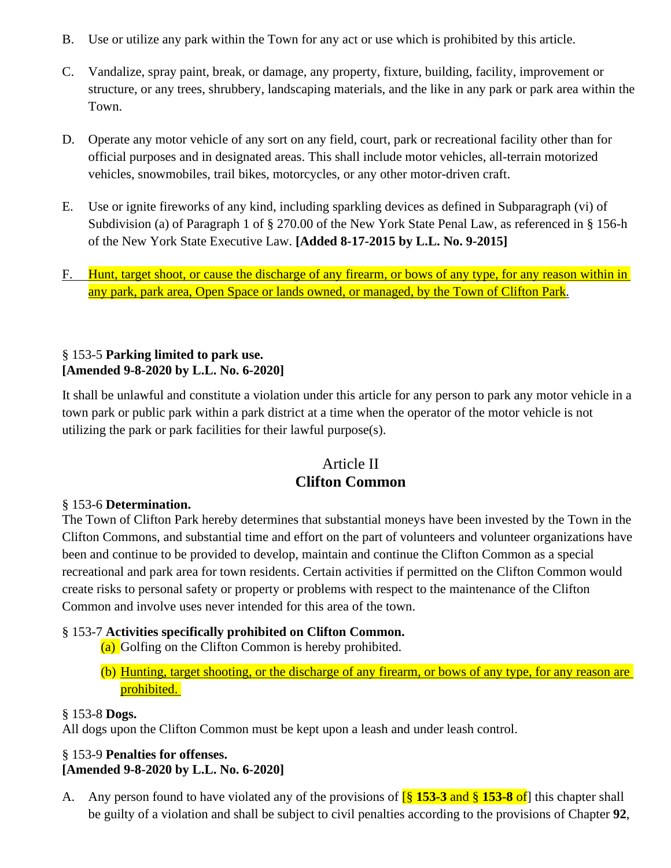- B. Use or utilize any park within the Town for any act or use which is prohibited by this article.
- C. Vandalize, spray paint, break, or damage, any property, fixture, building, facility, improvement or structure, or any trees, shrubbery, landscaping materials, and the like in any park or park area within the Town.
- D. Operate any motor vehicle of any sort on any field, court, park or recreational facility other than for official purposes and in designated areas. This shall include motor vehicles, all-terrain motorized vehicles, snowmobiles, trail bikes, motorcycles, or any other motor-driven craft.
- E. Use or ignite fireworks of any kind, including sparkling devices as defined in Subparagraph (vi) of Subdivision (a) of Paragraph 1 of § 270.00 of the New York State Penal Law, as referenced in § 156-h of the New York State Executive Law. **[Added 8-17-2015 by L.L. No. 9-2015]**
- F. Hunt, target shoot, or cause the discharge of any firearm, or bows of any type, for any reason within in any park, park area, Open Space or lands owned, or managed, by the Town of Clifton Park.

## § 153-5 **Parking limited to park use. [Amended 9-8-2020 by L.L. No. 6-2020]**

It shall be unlawful and constitute a violation under this article for any person to park any motor vehicle in a town park or public park within a park district at a time when the operator of the motor vehicle is not utilizing the park or park facilities for their lawful purpose(s).

## Article II **Clifton Common**

## § 153-6 **Determination.**

The Town of Clifton Park hereby determines that substantial moneys have been invested by the Town in the Clifton Commons, and substantial time and effort on the part of volunteers and volunteer organizations have been and continue to be provided to develop, maintain and continue the Clifton Common as a special recreational and park area for town residents. Certain activities if permitted on the Clifton Common would create risks to personal safety or property or problems with respect to the maintenance of the Clifton Common and involve uses never intended for this area of the town.

## § 153-7 **Activities specifically prohibited on Clifton Common.**

- (a) Golfing on the Clifton Common is hereby prohibited.
- (b) Hunting, target shooting, or the discharge of any firearm, or bows of any type, for any reason are prohibited.

## § 153-8 **Dogs.**

All dogs upon the Clifton Common must be kept upon a leash and under leash control.

## § 153-9 **Penalties for offenses. [Amended 9-8-2020 by L.L. No. 6-2020]**

A. Any person found to have violated any of the provisions of [§ **153-3** and § **153-8** of] this chapter shall be guilty of a violation and shall be subject to civil penalties according to the provisions of Chapter **92**,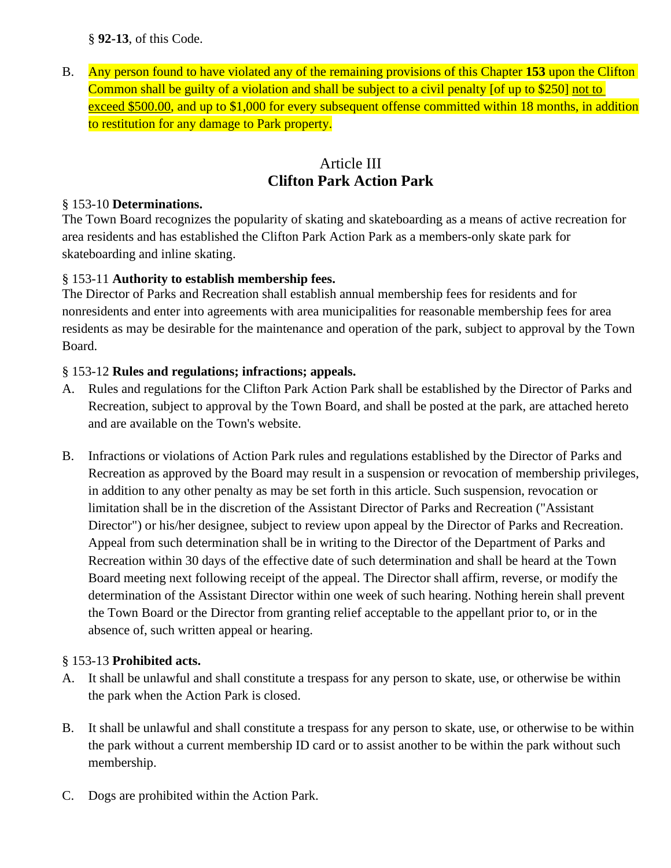§ **92-13**, of this Code.

B. Any person found to have violated any of the remaining provisions of this Chapter **153** upon the Clifton Common shall be guilty of a violation and shall be subject to a civil penalty [of up to \$250] not to exceed \$500.00, and up to \$1,000 for every subsequent offense committed within 18 months, in addition to restitution for any damage to Park property.

## Article III **Clifton Park Action Park**

## § 153-10 **Determinations.**

The Town Board recognizes the popularity of skating and skateboarding as a means of active recreation for area residents and has established the Clifton Park Action Park as a members-only skate park for skateboarding and inline skating.

## § 153-11 **Authority to establish membership fees.**

The Director of Parks and Recreation shall establish annual membership fees for residents and for nonresidents and enter into agreements with area municipalities for reasonable membership fees for area residents as may be desirable for the maintenance and operation of the park, subject to approval by the Town Board.

## § 153-12 **Rules and regulations; infractions; appeals.**

- A. Rules and regulations for the Clifton Park Action Park shall be established by the Director of Parks and Recreation, subject to approval by the Town Board, and shall be posted at the park, are attached hereto and are available on the Town's website.
- B. Infractions or violations of Action Park rules and regulations established by the Director of Parks and Recreation as approved by the Board may result in a suspension or revocation of membership privileges, in addition to any other penalty as may be set forth in this article. Such suspension, revocation or limitation shall be in the discretion of the Assistant Director of Parks and Recreation ("Assistant Director") or his/her designee, subject to review upon appeal by the Director of Parks and Recreation. Appeal from such determination shall be in writing to the Director of the Department of Parks and Recreation within 30 days of the effective date of such determination and shall be heard at the Town Board meeting next following receipt of the appeal. The Director shall affirm, reverse, or modify the determination of the Assistant Director within one week of such hearing. Nothing herein shall prevent the Town Board or the Director from granting relief acceptable to the appellant prior to, or in the absence of, such written appeal or hearing.

## § 153-13 **Prohibited acts.**

- A. It shall be unlawful and shall constitute a trespass for any person to skate, use, or otherwise be within the park when the Action Park is closed.
- B. It shall be unlawful and shall constitute a trespass for any person to skate, use, or otherwise to be within the park without a current membership ID card or to assist another to be within the park without such membership.
- C. Dogs are prohibited within the Action Park.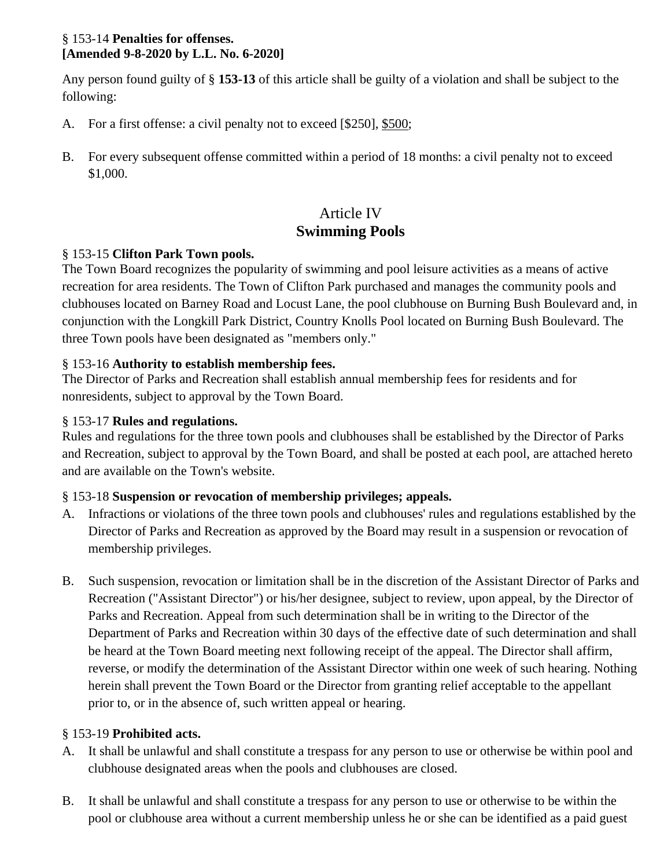#### § 153-14 **Penalties for offenses. [Amended 9-8-2020 by L.L. No. 6-2020]**

Any person found guilty of § **153-13** of this article shall be guilty of a violation and shall be subject to the following:

- A. For a first offense: a civil penalty not to exceed [\$250], \$500;
- B. For every subsequent offense committed within a period of 18 months: a civil penalty not to exceed \$1,000.

## Article IV **Swimming Pools**

## § 153-15 **Clifton Park Town pools.**

The Town Board recognizes the popularity of swimming and pool leisure activities as a means of active recreation for area residents. The Town of Clifton Park purchased and manages the community pools and clubhouses located on Barney Road and Locust Lane, the pool clubhouse on Burning Bush Boulevard and, in conjunction with the Longkill Park District, Country Knolls Pool located on Burning Bush Boulevard. The three Town pools have been designated as "members only."

## § 153-16 **Authority to establish membership fees.**

The Director of Parks and Recreation shall establish annual membership fees for residents and for nonresidents, subject to approval by the Town Board.

## § 153-17 **Rules and regulations.**

Rules and regulations for the three town pools and clubhouses shall be established by the Director of Parks and Recreation, subject to approval by the Town Board, and shall be posted at each pool, are attached hereto and are available on the Town's website.

## § 153-18 **Suspension or revocation of membership privileges; appeals.**

- A. Infractions or violations of the three town pools and clubhouses' rules and regulations established by the Director of Parks and Recreation as approved by the Board may result in a suspension or revocation of membership privileges.
- B. Such suspension, revocation or limitation shall be in the discretion of the Assistant Director of Parks and Recreation ("Assistant Director") or his/her designee, subject to review, upon appeal, by the Director of Parks and Recreation. Appeal from such determination shall be in writing to the Director of the Department of Parks and Recreation within 30 days of the effective date of such determination and shall be heard at the Town Board meeting next following receipt of the appeal. The Director shall affirm, reverse, or modify the determination of the Assistant Director within one week of such hearing. Nothing herein shall prevent the Town Board or the Director from granting relief acceptable to the appellant prior to, or in the absence of, such written appeal or hearing.

## § 153-19 **Prohibited acts.**

- A. It shall be unlawful and shall constitute a trespass for any person to use or otherwise be within pool and clubhouse designated areas when the pools and clubhouses are closed.
- B. It shall be unlawful and shall constitute a trespass for any person to use or otherwise to be within the pool or clubhouse area without a current membership unless he or she can be identified as a paid guest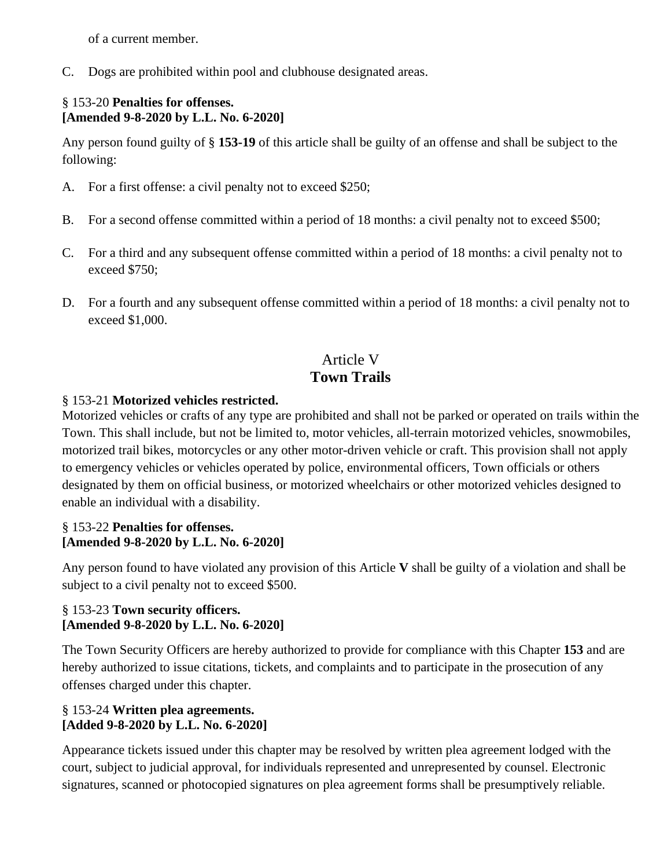of a current member.

C. Dogs are prohibited within pool and clubhouse designated areas.

## § 153-20 **Penalties for offenses. [Amended 9-8-2020 by L.L. No. 6-2020]**

Any person found guilty of § **153-19** of this article shall be guilty of an offense and shall be subject to the following:

- A. For a first offense: a civil penalty not to exceed \$250;
- B. For a second offense committed within a period of 18 months: a civil penalty not to exceed \$500;
- C. For a third and any subsequent offense committed within a period of 18 months: a civil penalty not to exceed \$750;
- D. For a fourth and any subsequent offense committed within a period of 18 months: a civil penalty not to exceed \$1,000.

# Article V **Town Trails**

## § 153-21 **Motorized vehicles restricted.**

Motorized vehicles or crafts of any type are prohibited and shall not be parked or operated on trails within the Town. This shall include, but not be limited to, motor vehicles, all-terrain motorized vehicles, snowmobiles, motorized trail bikes, motorcycles or any other motor-driven vehicle or craft. This provision shall not apply to emergency vehicles or vehicles operated by police, environmental officers, Town officials or others designated by them on official business, or motorized wheelchairs or other motorized vehicles designed to enable an individual with a disability.

## § 153-22 **Penalties for offenses. [Amended 9-8-2020 by L.L. No. 6-2020]**

Any person found to have violated any provision of this Article **V** shall be guilty of a violation and shall be subject to a civil penalty not to exceed \$500.

## § 153-23 **Town security officers. [Amended 9-8-2020 by L.L. No. 6-2020]**

The Town Security Officers are hereby authorized to provide for compliance with this Chapter **153** and are hereby authorized to issue citations, tickets, and complaints and to participate in the prosecution of any offenses charged under this chapter.

## § 153-24 **Written plea agreements. [Added 9-8-2020 by L.L. No. 6-2020]**

Appearance tickets issued under this chapter may be resolved by written plea agreement lodged with the court, subject to judicial approval, for individuals represented and unrepresented by counsel. Electronic signatures, scanned or photocopied signatures on plea agreement forms shall be presumptively reliable.